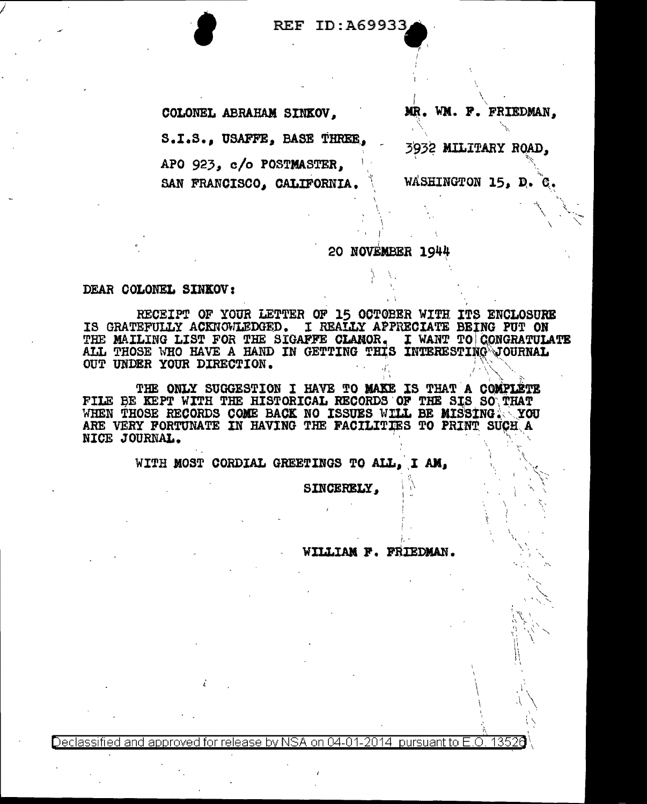REF ID: A69933

COLONEL ABRAHAM SINKOV.

S.I.S., USAFFE, BASE THREE,

APO 923, c/o POSTMASTER,

SAN FRANCISCO, CALIFORNIA.

MR. WM. F. FRIEDMAN.

3932 MILITARY ROAD,

WASHINGTON 15, D.

## 20 NOVEMBER 1944

## DEAR COLONEL SINKOV:

RECEIPT OF YOUR LETTER OF 15 OCTOBER WITH ITS ENCLOSURE IS GRATEFULLY ACKNOWLEDGED. I REALLY APPRECIATE BEING PUT ON THE MAILING LIST FOR THE SIGAFFE CLANOR. I WANT TO CONGRATULATE ALL THOSE WHO HAVE A HAND IN GETTING THIS INTERESTING JOURNAL OUT UNDER YOUR DIRECTION.

THE ONLY SUGGESTION I HAVE TO MAKE IS THAT A COMPLETE FILE BE KEPT WITH THE HISTORICAL RECORDS OF THE SIS SO THAT WHEN THOSE RECORDS COME BACK NO ISSUES WILL BE MISSING. YOU ARE VERY FORTUNATE IN HAVING THE FACILITIES TO PRINT SUCH A NICE JOURNAL.

WITH MOST CORDIAL GREETINGS TO ALL, I AM.

SINCERELY,

WILLIAM F. FRIEDMAN.

Declassified and approved for release by NSA on 04-01-2014  $\,$  pursuant to E.O.  $\,$ 13526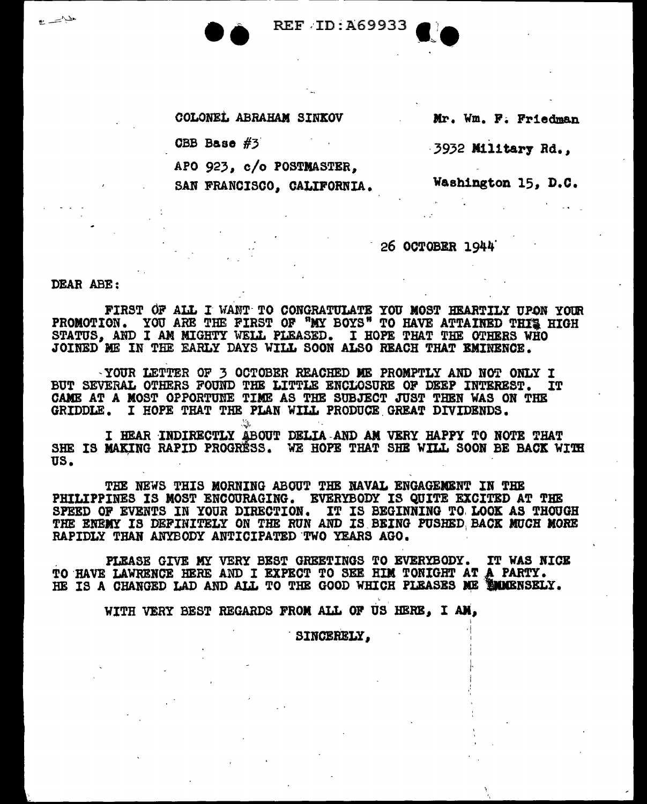**REF ID: A69933** 

COLONEL ABRAHAM SINKOV

CBB Base #3

APO 923, c/o POSTMASTER.

SAN FRANCISCO, CALIFORNIA.

Mr. Wm. F. Friedman

3932 Military Rd.,

Washington 15, D.C.

26 OCTOBER 1944

DEAR ABE:

فلينفسخ

FIRST OF ALL I WANT TO CONGRATULATE YOU MOST HEARTILY UPON YOUR PROMOTION. YOU ARE THE FIRST OF "MY BOYS" TO HAVE ATTAINED THIS HIGH STATUS, AND I AM MIGHTY WELL PLEASED. I HOPE THAT THE OTHERS WHO JOINED ME IN THE EARLY DAYS WILL SOON ALSO REACH THAT EMINENCE.

-YOUR LETTER OF 3 OCTOBER REACHED ME PROMPTLY AND NOT ONLY I BUT SEVERAL OTHERS FOUND THE LITTLE ENCLOSURE OF DEEP INTEREST. IT CAME AT A MOST OPPORTUNE TIME AS THE SUBJECT JUST THEN WAS ON THE GRIDDLE. I HOPE THAT THE PLAN WILL PRODUCE GREAT DIVIDENDS.

I HEAR INDIRECTLY ABOUT DELIA AND AN VERY HAPPY TO NOTE THAT SHE IS MAKING RAPID PROGRESS. WE HOPE THAT SHE WILL SOON BE BACK WITH US.

THE NEWS THIS MORNING ABOUT THE NAVAL ENGAGEMENT IN THE PHILIPPINES IS MOST ENCOURAGING. EVERYBODY IS QUITE EXCITED AT THE SPEED OF EVENTS IN YOUR DIRECTION. IT IS BEGINNING TO LOOK AS THOUGH THE ENEMY IS DEFINITELY ON THE RUN AND IS BEING PUSHED BACK MUCH MORE RAPIDLY THAN ANYBODY ANTICIPATED TWO YEARS AGO.

PLEASE GIVE MY VERY BEST GREETINGS TO EVERYBODY. IT WAS NICE TO HAVE LAWRENCE HERE AND I EXPECT TO SEE HIM TONIGHT AT A PARTY. HE IS A CHANGED LAD AND ALL TO THE GOOD WHICH PLEASES ME MIMIGNSELY.

WITH VERY BEST REGARDS FROM ALL OF US HERE. I AM.

SINCERELY,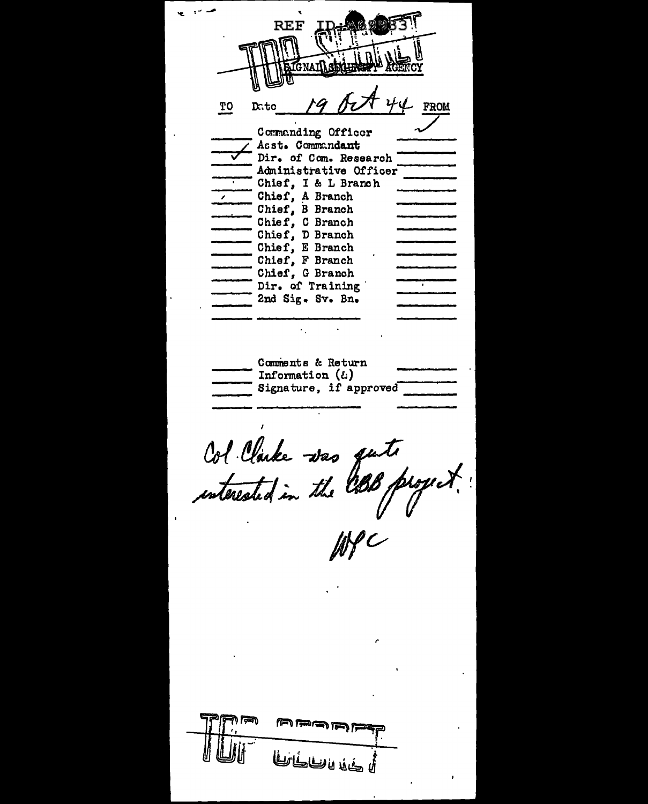**REF TO FROM** Date Commanding Officer Asst. Commandant Dir. of Com. Research Administrative Officer Chief, I & L Branch Chief, A Branch Chief, B Branch Chief, C Branch Chief, D Branch Chief, E Branch Chief, F Branch Chief, G Branch Dir. of Training 2nd Sig. Sv. Bn. Comments & Return Information  $(\epsilon)$ Signature, if approved Col Clarke was quite لمنافى للهف بأن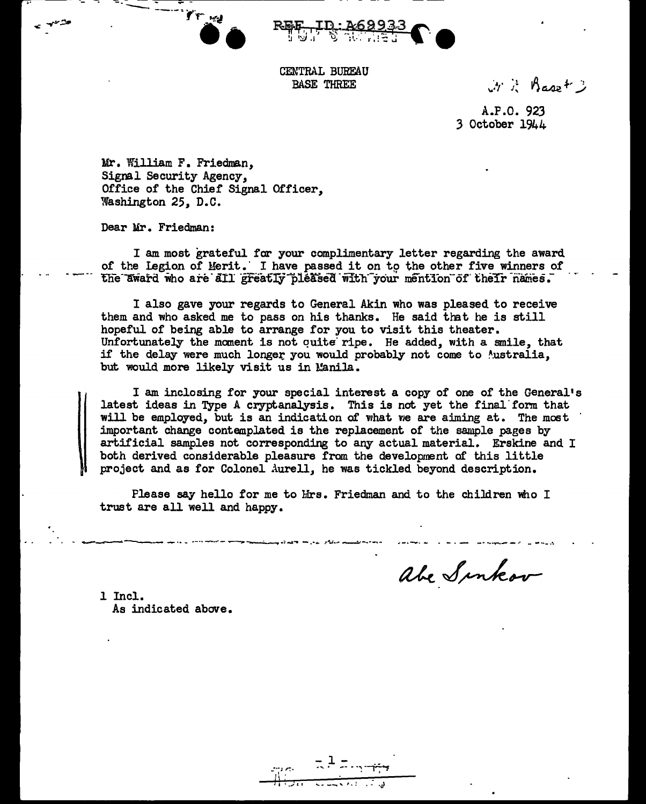



CENTRAL BUREAU **BASE THREE** 

 $y \geq \beta$ aset 3

A.P.O. 923 3 October 1944

Mr. William F. Friedman, Signal Security Agency. Office of the Chief Signal Officer, Washington 25, D.C.

Dear Mr. Friedman:

I am most grateful for your complimentary letter regarding the award of the Legion of Merit. I have passed it on to the other five winners of the award who are all greatly pleased with your mention of their names.

I also gave your regards to General Akin who was pleased to receive them and who asked me to pass on his thanks. He said that he is still hopeful of being able to arrange for you to visit this theater. Unfortunately the moment is not quite ripe. He added, with a smile, that if the delay were much longer you would probably not come to Mustralia, but would more likely visit us in Manila.

I am inclosing for your special interest a copy of one of the General's latest ideas in Type A cryptanalysis. This is not yet the final form that will be employed, but is an indication of what we are aiming at. The most important change contemplated is the replacement of the sample pages by artificial samples not corresponding to any actual material. Erskine and I both derived considerable pleasure from the development of this little project and as for Colonel Aurell, he was tickled beyond description.

Please say hello for me to Mrs. Friedman and to the children who I trust are all well and happy.

abe Sinkov

1 Incl. As indicated above.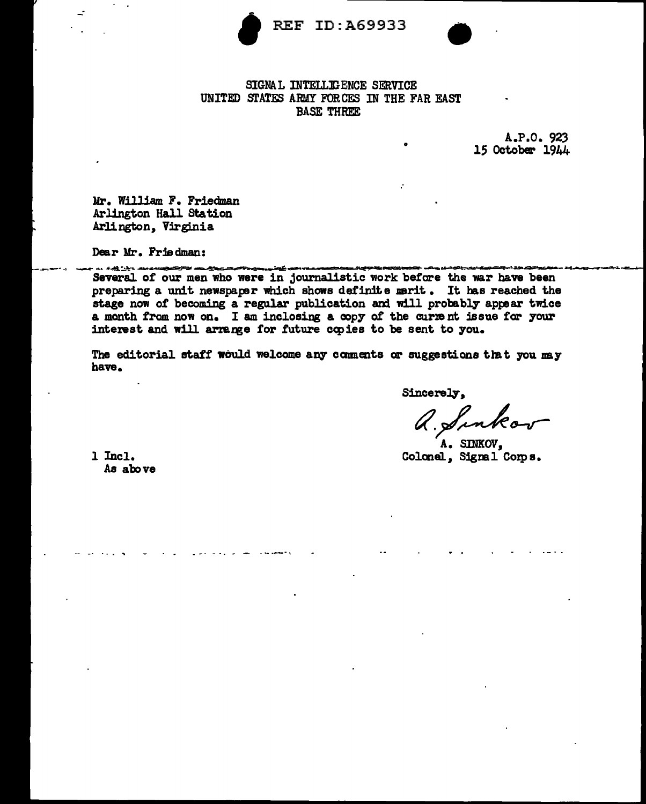

REF ID:A69933



## SIGNAL INTELLIGENCE SERVICE UNITED STATES ARMY FORCES IN THE FAR EAST **BASE THREE**

A.P.O. 923 15 October 1944

Mr. William F. Friedman Arlington Hall Station Arlington, Virginia

Dear Mr. Friedman:

Several of our men who were in journalistic work before the war have been preparing a unit newspaper which shows definite merit. It has reached the stage now of becoming a regular publication and will probably appear twice a month from now on. I am inclosing a copy of the current issue for your interest and will arrange for future copies to be sent to you.

The editorial staff would welcome any comments or suggestions that you may have.

Sincerely.

a. Sinkos

A. SINKOV. Colonel, Signal Corps.

 $1$  Incl. As above